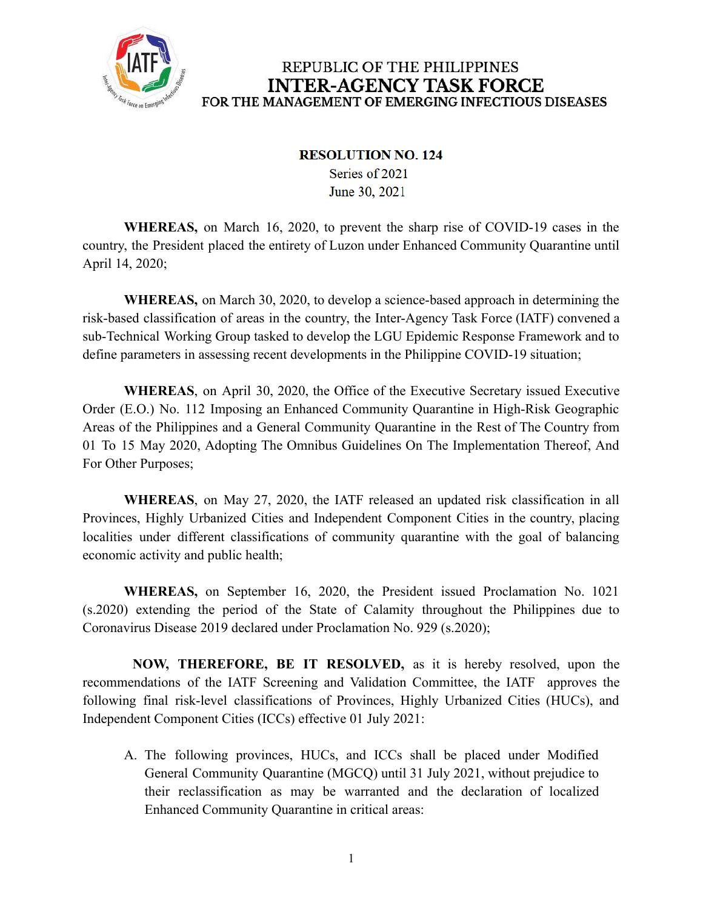

#### **RESOLUTION NO. 124**

Series of 2021 June 30, 2021

**WHEREAS,** on March 16, 2020, to prevent the sharp rise of COVID-19 cases in the country, the President placed the entirety of Luzon under Enhanced Community Quarantine until April 14, 2020;

**WHEREAS,** on March 30, 2020, to develop a science-based approach in determining the risk-based classification of areas in the country, the Inter-Agency Task Force (IATF) convened a sub-Technical Working Group tasked to develop the LGU Epidemic Response Framework and to define parameters in assessing recent developments in the Philippine COVID-19 situation;

**WHEREAS**, on April 30, 2020, the Office of the Executive Secretary issued Executive Order (E.O.) No. 112 Imposing an Enhanced Community Quarantine in High-Risk Geographic Areas of the Philippines and a General Community Quarantine in the Rest of The Country from 01 To 15 May 2020, Adopting The Omnibus Guidelines On The Implementation Thereof, And For Other Purposes;

**WHEREAS**, on May 27, 2020, the IATF released an updated risk classification in all Provinces, Highly Urbanized Cities and Independent Component Cities in the country, placing localities under different classifications of community quarantine with the goal of balancing economic activity and public health;

**WHEREAS,** on September 16, 2020, the President issued Proclamation No. 1021 (s.2020) extending the period of the State of Calamity throughout the Philippines due to Coronavirus Disease 2019 declared under Proclamation No. 929 (s.2020);

**NOW, THEREFORE, BE IT RESOLVED,** as it is hereby resolved, upon the recommendations of the IATF Screening and Validation Committee, the IATF approves the following final risk-level classifications of Provinces, Highly Urbanized Cities (HUCs), and Independent Component Cities (ICCs) effective 01 July 2021:

A. The following provinces, HUCs, and ICCs shall be placed under Modified General Community Quarantine (MGCQ) until 31 July 2021, without prejudice to their reclassification as may be warranted and the declaration of localized Enhanced Community Quarantine in critical areas: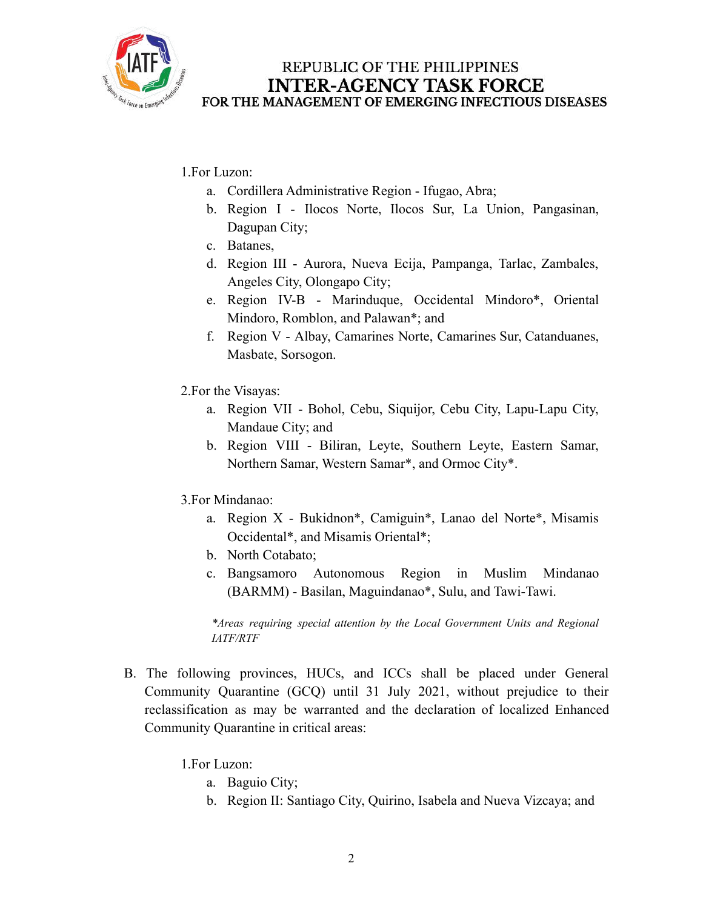

1.For Luzon:

- a. Cordillera Administrative Region Ifugao, Abra;
- b. Region I Ilocos Norte, Ilocos Sur, La Union, Pangasinan, Dagupan City;
- c. Batanes,
- d. Region III Aurora, Nueva Ecija, Pampanga, Tarlac, Zambales, Angeles City, Olongapo City;
- e. Region IV-B Marinduque, Occidental Mindoro\*, Oriental Mindoro, Romblon, and Palawan\*; and
- f. Region V Albay, Camarines Norte, Camarines Sur, Catanduanes, Masbate, Sorsogon.
- 2.For the Visayas:
	- a. Region VII Bohol, Cebu, Siquijor, Cebu City, Lapu-Lapu City, Mandaue City; and
	- b. Region VIII Biliran, Leyte, Southern Leyte, Eastern Samar, Northern Samar, Western Samar\*, and Ormoc City\*.
- 3.For Mindanao:
	- a. Region X Bukidnon\*, Camiguin\*, Lanao del Norte\*, Misamis Occidental\*, and Misamis Oriental\*;
	- b. North Cotabato;
	- c. Bangsamoro Autonomous Region in Muslim Mindanao (BARMM) - Basilan, Maguindanao\*, Sulu, and Tawi-Tawi.

*\*Areas requiring special attention by the Local Government Units and Regional IATF/RTF*

B. The following provinces, HUCs, and ICCs shall be placed under General Community Quarantine (GCQ) until 31 July 2021, without prejudice to their reclassification as may be warranted and the declaration of localized Enhanced Community Quarantine in critical areas:

1.For Luzon:

- a. Baguio City;
- b. Region II: Santiago City, Quirino, Isabela and Nueva Vizcaya; and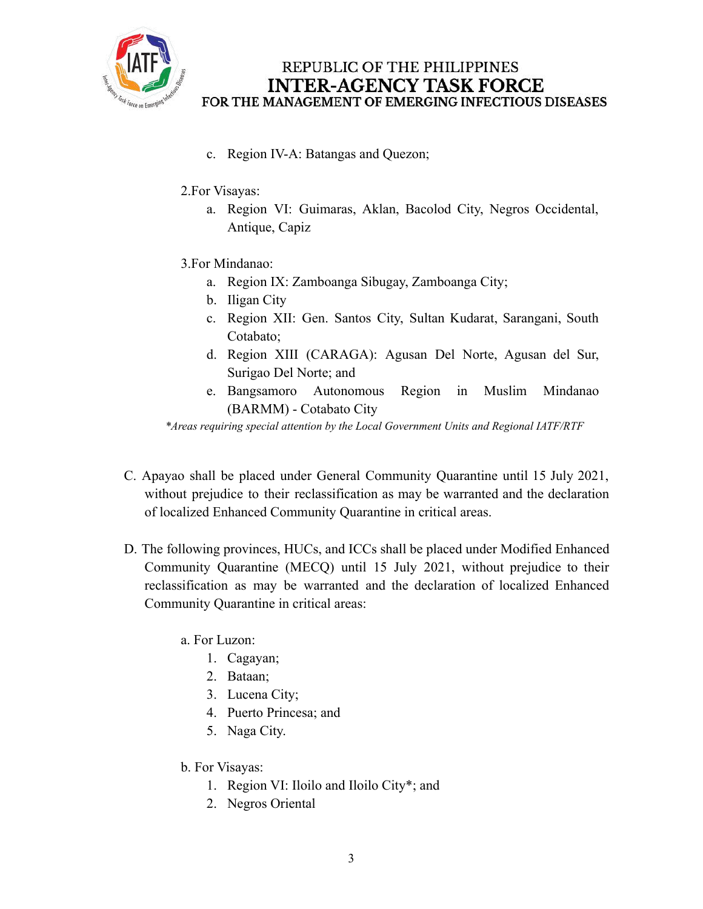

- c. Region IV-A: Batangas and Quezon;
- 2.For Visayas:
	- a. Region VI: Guimaras, Aklan, Bacolod City, Negros Occidental, Antique, Capiz
- 3.For Mindanao:
	- a. Region IX: Zamboanga Sibugay, Zamboanga City;
	- b. Iligan City
	- c. Region XII: Gen. Santos City, Sultan Kudarat, Sarangani, South Cotabato;
	- d. Region XIII (CARAGA): Agusan Del Norte, Agusan del Sur, Surigao Del Norte; and
	- e. Bangsamoro Autonomous Region in Muslim Mindanao (BARMM) - Cotabato City

*\*Areas requiring special attention by the Local Government Units and Regional IATF/RTF*

- C. Apayao shall be placed under General Community Quarantine until 15 July 2021, without prejudice to their reclassification as may be warranted and the declaration of localized Enhanced Community Quarantine in critical areas.
- D. The following provinces, HUCs, and ICCs shall be placed under Modified Enhanced Community Quarantine (MECQ) until 15 July 2021, without prejudice to their reclassification as may be warranted and the declaration of localized Enhanced Community Quarantine in critical areas:
	- a. For Luzon:
		- 1. Cagayan;
		- 2. Bataan;
		- 3. Lucena City;
		- 4. Puerto Princesa; and
		- 5. Naga City.
	- b. For Visayas:
		- 1. Region VI: Iloilo and Iloilo City\*; and
		- 2. Negros Oriental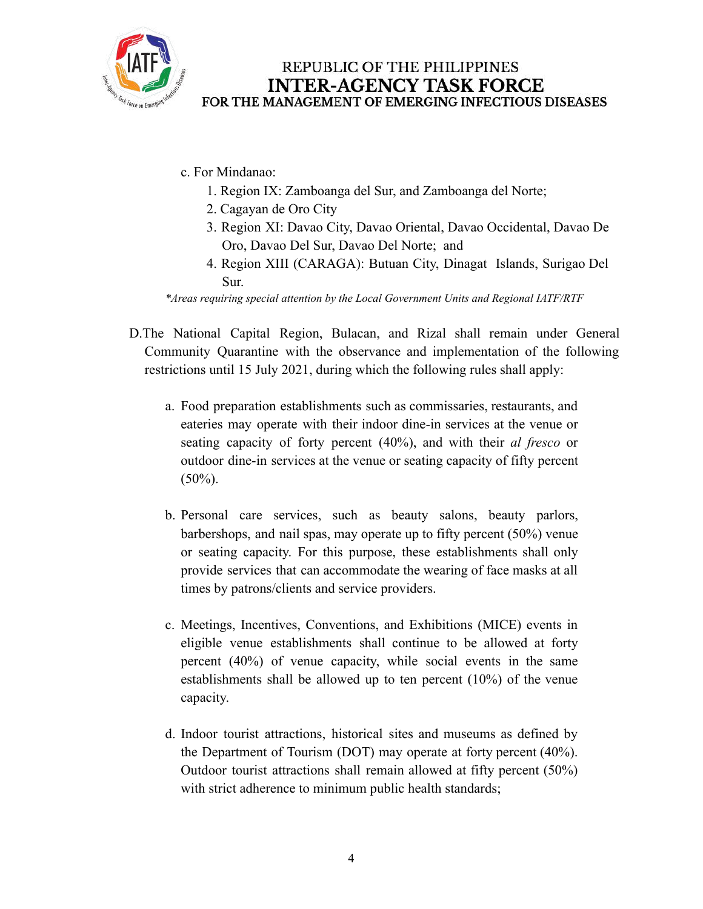

- c. For Mindanao:
	- 1. Region IX: Zamboanga del Sur, and Zamboanga del Norte;
	- 2. Cagayan de Oro City
	- 3. Region XI: Davao City, Davao Oriental, Davao Occidental, Davao De Oro, Davao Del Sur, Davao Del Norte; and
	- 4. Region XIII (CARAGA): Butuan City, Dinagat Islands, Surigao Del Sur.

*\*Areas requiring special attention by the Local Government Units and Regional IATF/RTF*

- D.The National Capital Region, Bulacan, and Rizal shall remain under General Community Quarantine with the observance and implementation of the following restrictions until 15 July 2021, during which the following rules shall apply:
	- a. Food preparation establishments such as commissaries, restaurants, and eateries may operate with their indoor dine-in services at the venue or seating capacity of forty percent (40%), and with their *al fresco* or outdoor dine-in services at the venue or seating capacity of fifty percent  $(50\%)$ .
	- b. Personal care services, such as beauty salons, beauty parlors, barbershops, and nail spas, may operate up to fifty percent (50%) venue or seating capacity. For this purpose, these establishments shall only provide services that can accommodate the wearing of face masks at all times by patrons/clients and service providers.
	- c. Meetings, Incentives, Conventions, and Exhibitions (MICE) events in eligible venue establishments shall continue to be allowed at forty percent (40%) of venue capacity, while social events in the same establishments shall be allowed up to ten percent (10%) of the venue capacity.
	- d. Indoor tourist attractions, historical sites and museums as defined by the Department of Tourism (DOT) may operate at forty percent (40%). Outdoor tourist attractions shall remain allowed at fifty percent (50%) with strict adherence to minimum public health standards;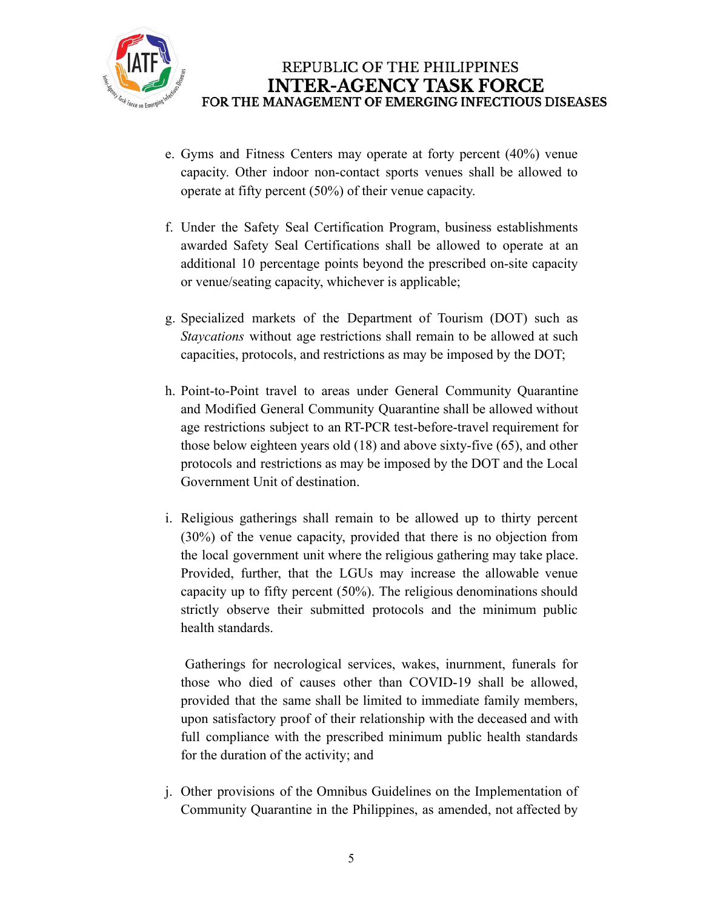

- e. Gyms and Fitness Centers may operate at forty percent (40%) venue capacity. Other indoor non-contact sports venues shall be allowed to operate at fifty percent (50%) of their venue capacity.
- f. Under the Safety Seal Certification Program, business establishments awarded Safety Seal Certifications shall be allowed to operate at an additional 10 percentage points beyond the prescribed on-site capacity or venue/seating capacity, whichever is applicable;
- g. Specialized markets of the Department of Tourism (DOT) such as *Staycations* without age restrictions shall remain to be allowed at such capacities, protocols, and restrictions as may be imposed by the DOT;
- h. Point-to-Point travel to areas under General Community Quarantine and Modified General Community Quarantine shall be allowed without age restrictions subject to an RT-PCR test-before-travel requirement for those below eighteen years old (18) and above sixty-five (65), and other protocols and restrictions as may be imposed by the DOT and the Local Government Unit of destination.
- i. Religious gatherings shall remain to be allowed up to thirty percent (30%) of the venue capacity, provided that there is no objection from the local government unit where the religious gathering may take place. Provided, further, that the LGUs may increase the allowable venue capacity up to fifty percent (50%). The religious denominations should strictly observe their submitted protocols and the minimum public health standards.

Gatherings for necrological services, wakes, inurnment, funerals for those who died of causes other than COVID-19 shall be allowed, provided that the same shall be limited to immediate family members, upon satisfactory proof of their relationship with the deceased and with full compliance with the prescribed minimum public health standards for the duration of the activity; and

j. Other provisions of the Omnibus Guidelines on the Implementation of Community Quarantine in the Philippines, as amended, not affected by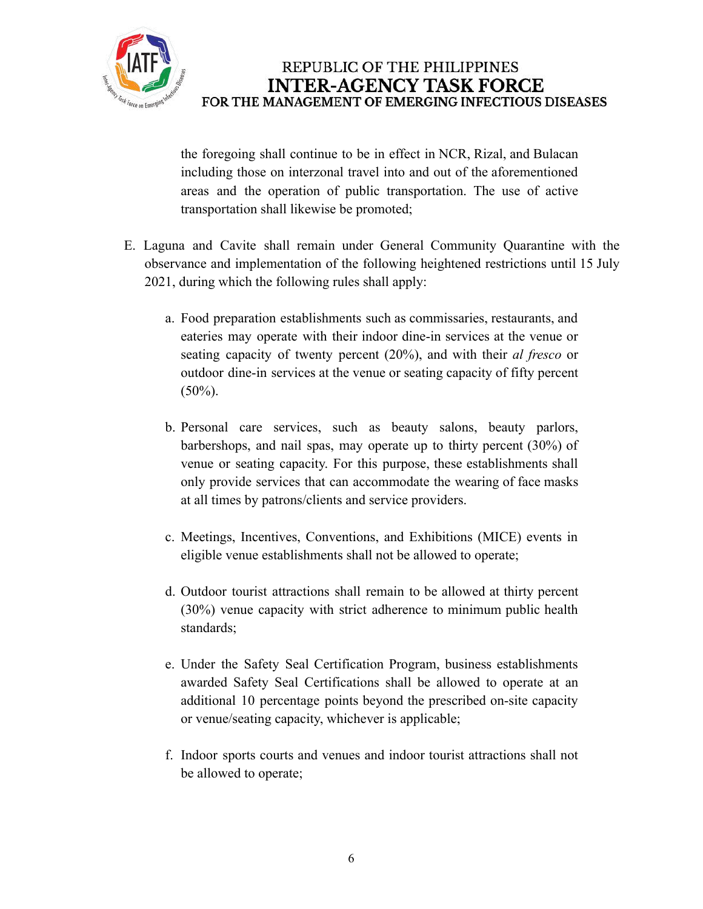

the foregoing shall continue to be in effect in NCR, Rizal, and Bulacan including those on interzonal travel into and out of the aforementioned areas and the operation of public transportation. The use of active transportation shall likewise be promoted;

- E. Laguna and Cavite shall remain under General Community Quarantine with the observance and implementation of the following heightened restrictions until 15 July 2021, during which the following rules shall apply:
	- a. Food preparation establishments such as commissaries, restaurants, and eateries may operate with their indoor dine-in services at the venue or seating capacity of twenty percent (20%), and with their *al fresco* or outdoor dine-in services at the venue or seating capacity of fifty percent  $(50\%)$ .
	- b. Personal care services, such as beauty salons, beauty parlors, barbershops, and nail spas, may operate up to thirty percent (30%) of venue or seating capacity. For this purpose, these establishments shall only provide services that can accommodate the wearing of face masks at all times by patrons/clients and service providers.
	- c. Meetings, Incentives, Conventions, and Exhibitions (MICE) events in eligible venue establishments shall not be allowed to operate;
	- d. Outdoor tourist attractions shall remain to be allowed at thirty percent (30%) venue capacity with strict adherence to minimum public health standards;
	- e. Under the Safety Seal Certification Program, business establishments awarded Safety Seal Certifications shall be allowed to operate at an additional 10 percentage points beyond the prescribed on-site capacity or venue/seating capacity, whichever is applicable;
	- f. Indoor sports courts and venues and indoor tourist attractions shall not be allowed to operate;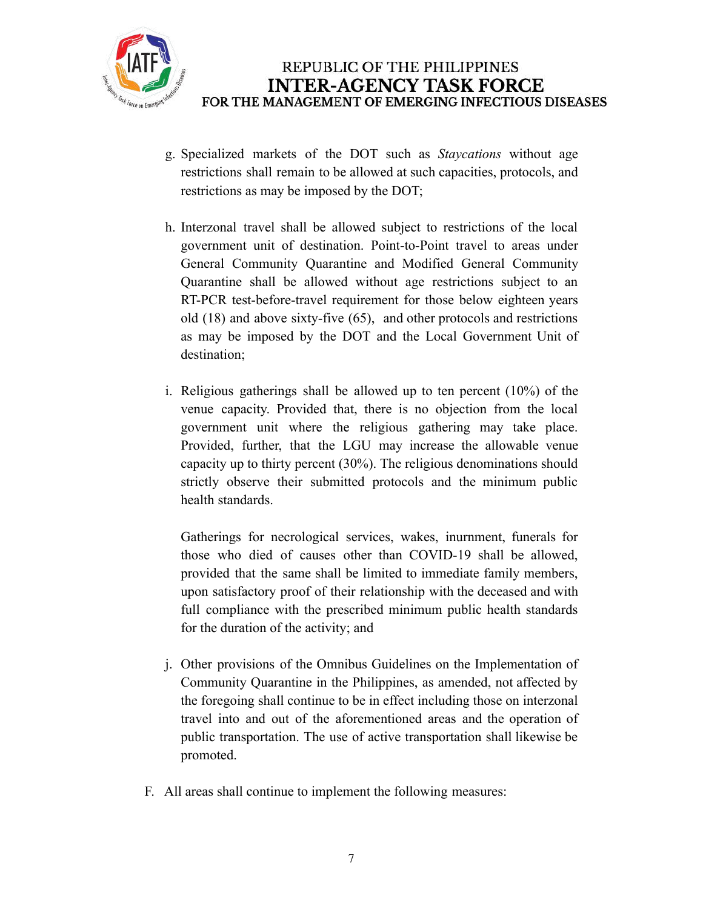

- g. Specialized markets of the DOT such as *Staycations* without age restrictions shall remain to be allowed at such capacities, protocols, and restrictions as may be imposed by the DOT;
- h. Interzonal travel shall be allowed subject to restrictions of the local government unit of destination. Point-to-Point travel to areas under General Community Quarantine and Modified General Community Quarantine shall be allowed without age restrictions subject to an RT-PCR test-before-travel requirement for those below eighteen years old (18) and above sixty-five (65), and other protocols and restrictions as may be imposed by the DOT and the Local Government Unit of destination;
- i. Religious gatherings shall be allowed up to ten percent (10%) of the venue capacity. Provided that, there is no objection from the local government unit where the religious gathering may take place. Provided, further, that the LGU may increase the allowable venue capacity up to thirty percent (30%). The religious denominations should strictly observe their submitted protocols and the minimum public health standards.

Gatherings for necrological services, wakes, inurnment, funerals for those who died of causes other than COVID-19 shall be allowed, provided that the same shall be limited to immediate family members, upon satisfactory proof of their relationship with the deceased and with full compliance with the prescribed minimum public health standards for the duration of the activity; and

- j. Other provisions of the Omnibus Guidelines on the Implementation of Community Quarantine in the Philippines, as amended, not affected by the foregoing shall continue to be in effect including those on interzonal travel into and out of the aforementioned areas and the operation of public transportation. The use of active transportation shall likewise be promoted.
- F. All areas shall continue to implement the following measures: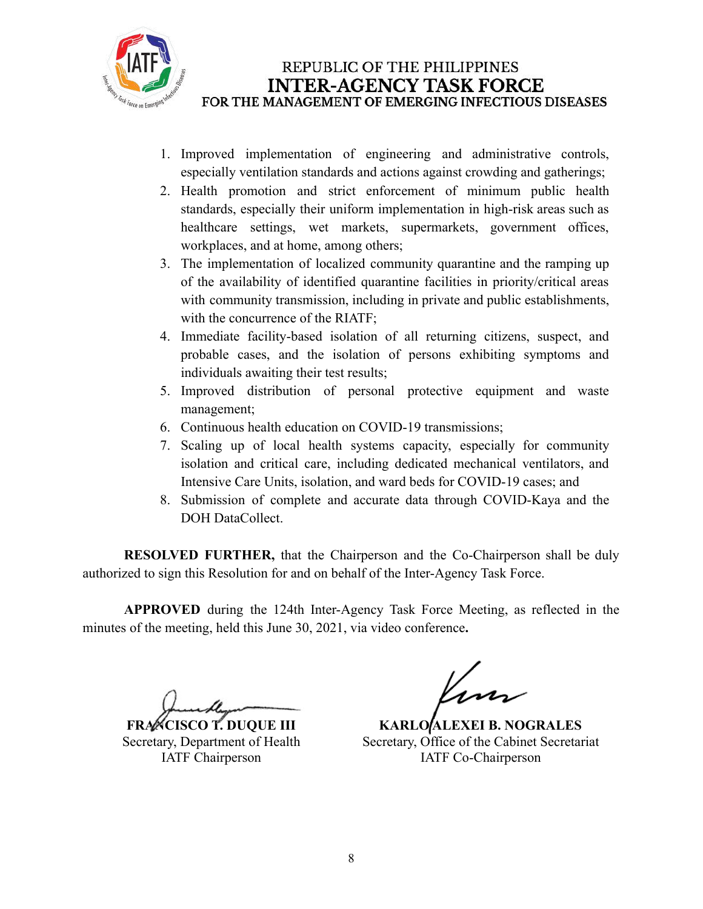

- 1. Improved implementation of engineering and administrative controls, especially ventilation standards and actions against crowding and gatherings;
- 2. Health promotion and strict enforcement of minimum public health standards, especially their uniform implementation in high-risk areas such as healthcare settings, wet markets, supermarkets, government offices, workplaces, and at home, among others;
- 3. The implementation of localized community quarantine and the ramping up of the availability of identified quarantine facilities in priority/critical areas with community transmission, including in private and public establishments, with the concurrence of the RIATF;
- 4. Immediate facility-based isolation of all returning citizens, suspect, and probable cases, and the isolation of persons exhibiting symptoms and individuals awaiting their test results;
- 5. Improved distribution of personal protective equipment and waste management;
- 6. Continuous health education on COVID-19 transmissions;
- 7. Scaling up of local health systems capacity, especially for community isolation and critical care, including dedicated mechanical ventilators, and Intensive Care Units, isolation, and ward beds for COVID-19 cases; and
- 8. Submission of complete and accurate data through COVID-Kaya and the DOH DataCollect.

**RESOLVED FURTHER,** that the Chairperson and the Co-Chairperson shall be duly authorized to sign this Resolution for and on behalf of the Inter-Agency Task Force.

**APPROVED** during the 124th Inter-Agency Task Force Meeting, as reflected in the minutes of the meeting, held this June 30, 2021, via video conference**.**

**FRANCISCO T. DUQUE III** Secretary, Department of Health IATF Chairperson

**KARLO ALEXEI B. NOGRALES** Secretary, Office of the Cabinet Secretariat IATF Co-Chairperson